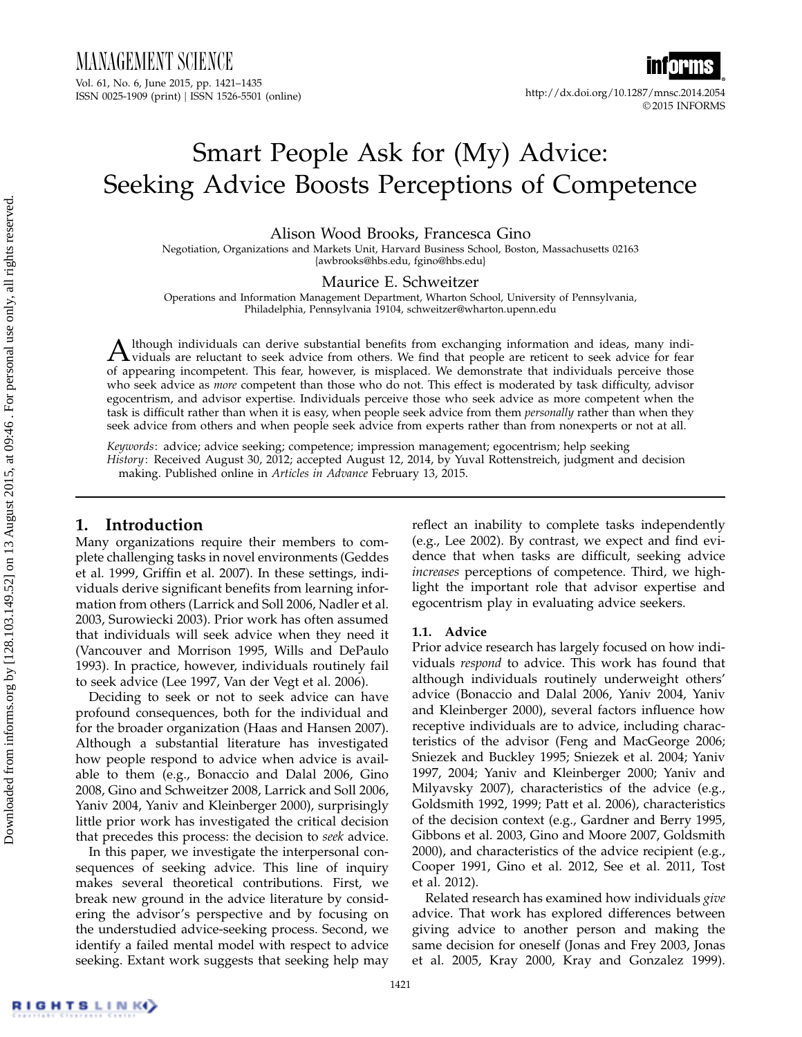MANAGEMENT SCIENCE

Vol. 61, No. 6, June 2015, pp. 1421–1435 ISSN 0025-1909 (print) | ISSN 1526-5501 (online) http://dx.doi.org/10.1287/mnsc.2014.2054



© 2015 INFORMS

# Smart People Ask for (My) Advice: Seeking Advice Boosts Perceptions of Competence

Alison Wood Brooks, Francesca Gino

Negotiation, Organizations and Markets Unit, Harvard Business School, Boston, Massachusetts 02163 {awbrooks@hbs.edu, fgino@hbs.edu}

#### Maurice E. Schweitzer

Operations and Information Management Department, Wharton School, University of Pennsylvania, Philadelphia, Pennsylvania 19104, schweitzer@wharton.upenn.edu

A lthough individuals can derive substantial benefits from exchanging information and ideas, many indi-<br>viduals are reluctant to seek advice from others. We find that people are reticent to seek advice for fear lthough individuals can derive substantial benefits from exchanging information and ideas, many indiof appearing incompetent. This fear, however, is misplaced. We demonstrate that individuals perceive those who seek advice as *more* competent than those who do not. This effect is moderated by task difficulty, advisor egocentrism, and advisor expertise. Individuals perceive those who seek advice as more competent when the task is difficult rather than when it is easy, when people seek advice from them *personally* rather than when they seek advice from others and when people seek advice from experts rather than from nonexperts or not at all.

Keywords: advice; advice seeking; competence; impression management; egocentrism; help seeking History: Received August 30, 2012; accepted August 12, 2014, by Yuval Rottenstreich, judgment and decision making. Published online in Articles in Advance February 13, 2015.

# 1. Introduction

Many organizations require their members to complete challenging tasks in novel environments (Geddes et al. 1999, Griffin et al. 2007). In these settings, individuals derive significant benefits from learning information from others (Larrick and Soll 2006, Nadler et al. 2003, Surowiecki 2003). Prior work has often assumed that individuals will seek advice when they need it (Vancouver and Morrison 1995, Wills and DePaulo 1993). In practice, however, individuals routinely fail to seek advice (Lee 1997, Van der Vegt et al. 2006).

Deciding to seek or not to seek advice can have profound consequences, both for the individual and for the broader organization (Haas and Hansen 2007). Although a substantial literature has investigated how people respond to advice when advice is available to them (e.g., Bonaccio and Dalal 2006, Gino 2008, Gino and Schweitzer 2008, Larrick and Soll 2006, Yaniv 2004, Yaniv and Kleinberger 2000), surprisingly little prior work has investigated the critical decision that precedes this process: the decision to seek advice.

In this paper, we investigate the interpersonal consequences of seeking advice. This line of inquiry makes several theoretical contributions. First, we break new ground in the advice literature by considering the advisor's perspective and by focusing on the understudied advice-seeking process. Second, we identify a failed mental model with respect to advice seeking. Extant work suggests that seeking help may

reflect an inability to complete tasks independently (e.g., Lee 2002). By contrast, we expect and find evidence that when tasks are difficult, seeking advice increases perceptions of competence. Third, we highlight the important role that advisor expertise and egocentrism play in evaluating advice seekers.

#### 1.1. Advice

Prior advice research has largely focused on how individuals respond to advice. This work has found that although individuals routinely underweight others' advice (Bonaccio and Dalal 2006, Yaniv 2004, Yaniv and Kleinberger 2000), several factors influence how receptive individuals are to advice, including characteristics of the advisor (Feng and MacGeorge 2006; Sniezek and Buckley 1995; Sniezek et al. 2004; Yaniv 1997, 2004; Yaniv and Kleinberger 2000; Yaniv and Milyavsky 2007), characteristics of the advice (e.g., Goldsmith 1992, 1999; Patt et al. 2006), characteristics of the decision context (e.g., Gardner and Berry 1995, Gibbons et al. 2003, Gino and Moore 2007, Goldsmith 2000), and characteristics of the advice recipient (e.g., Cooper 1991, Gino et al. 2012, See et al. 2011, Tost et al. 2012).

Related research has examined how individuals give advice. That work has explored differences between giving advice to another person and making the same decision for oneself (Jonas and Frey 2003, Jonas et al. 2005, Kray 2000, Kray and Gonzalez 1999).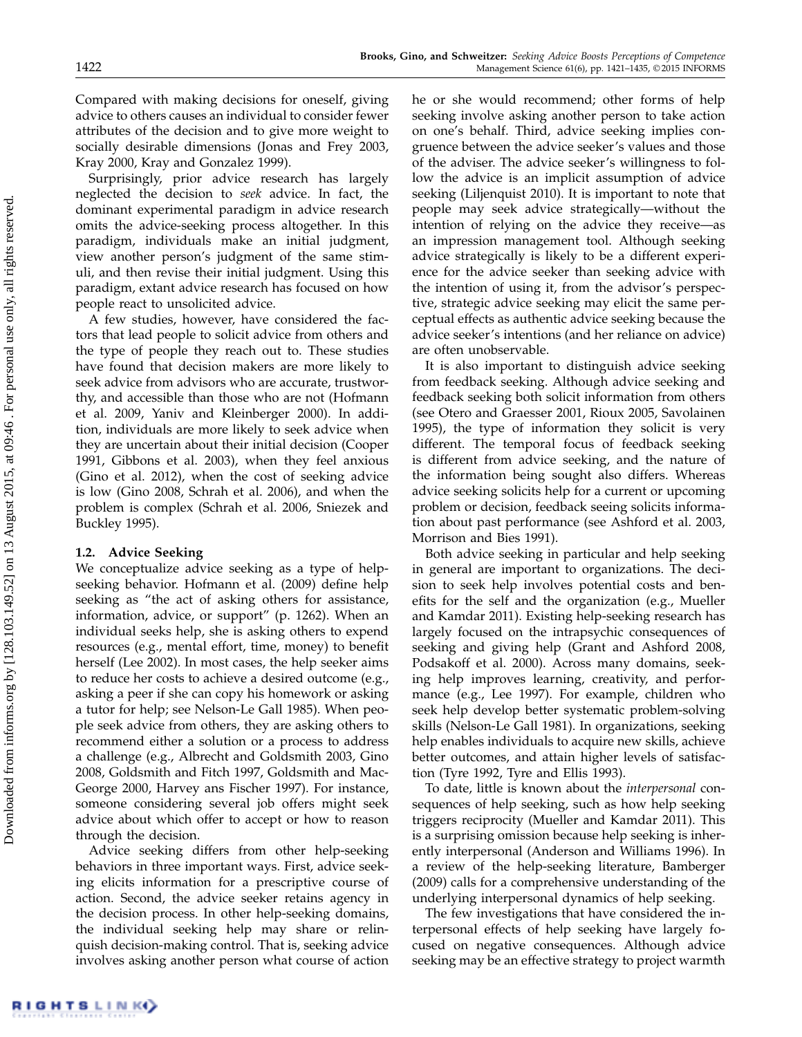Compared with making decisions for oneself, giving advice to others causes an individual to consider fewer attributes of the decision and to give more weight to socially desirable dimensions (Jonas and Frey 2003, Kray 2000, Kray and Gonzalez 1999).

Surprisingly, prior advice research has largely neglected the decision to seek advice. In fact, the dominant experimental paradigm in advice research omits the advice-seeking process altogether. In this paradigm, individuals make an initial judgment, view another person's judgment of the same stimuli, and then revise their initial judgment. Using this paradigm, extant advice research has focused on how people react to unsolicited advice.

A few studies, however, have considered the factors that lead people to solicit advice from others and the type of people they reach out to. These studies have found that decision makers are more likely to seek advice from advisors who are accurate, trustworthy, and accessible than those who are not (Hofmann et al. 2009, Yaniv and Kleinberger 2000). In addition, individuals are more likely to seek advice when they are uncertain about their initial decision (Cooper 1991, Gibbons et al. 2003), when they feel anxious (Gino et al. 2012), when the cost of seeking advice is low (Gino 2008, Schrah et al. 2006), and when the problem is complex (Schrah et al. 2006, Sniezek and Buckley 1995).

#### 1.2. Advice Seeking

We conceptualize advice seeking as a type of helpseeking behavior. Hofmann et al. (2009) define help seeking as "the act of asking others for assistance, information, advice, or support" (p. 1262). When an individual seeks help, she is asking others to expend resources (e.g., mental effort, time, money) to benefit herself (Lee 2002). In most cases, the help seeker aims to reduce her costs to achieve a desired outcome (e.g., asking a peer if she can copy his homework or asking a tutor for help; see Nelson-Le Gall 1985). When people seek advice from others, they are asking others to recommend either a solution or a process to address a challenge (e.g., Albrecht and Goldsmith 2003, Gino 2008, Goldsmith and Fitch 1997, Goldsmith and Mac-George 2000, Harvey ans Fischer 1997). For instance, someone considering several job offers might seek advice about which offer to accept or how to reason through the decision.

Advice seeking differs from other help-seeking behaviors in three important ways. First, advice seeking elicits information for a prescriptive course of action. Second, the advice seeker retains agency in the decision process. In other help-seeking domains, the individual seeking help may share or relinquish decision-making control. That is, seeking advice involves asking another person what course of action he or she would recommend; other forms of help seeking involve asking another person to take action on one's behalf. Third, advice seeking implies congruence between the advice seeker's values and those of the adviser. The advice seeker's willingness to follow the advice is an implicit assumption of advice seeking (Liljenquist 2010). It is important to note that people may seek advice strategically—without the intention of relying on the advice they receive—as an impression management tool. Although seeking advice strategically is likely to be a different experience for the advice seeker than seeking advice with the intention of using it, from the advisor's perspective, strategic advice seeking may elicit the same perceptual effects as authentic advice seeking because the advice seeker's intentions (and her reliance on advice) are often unobservable.

It is also important to distinguish advice seeking from feedback seeking. Although advice seeking and feedback seeking both solicit information from others (see Otero and Graesser 2001, Rioux 2005, Savolainen 1995), the type of information they solicit is very different. The temporal focus of feedback seeking is different from advice seeking, and the nature of the information being sought also differs. Whereas advice seeking solicits help for a current or upcoming problem or decision, feedback seeing solicits information about past performance (see Ashford et al. 2003, Morrison and Bies 1991).

Both advice seeking in particular and help seeking in general are important to organizations. The decision to seek help involves potential costs and benefits for the self and the organization (e.g., Mueller and Kamdar 2011). Existing help-seeking research has largely focused on the intrapsychic consequences of seeking and giving help (Grant and Ashford 2008, Podsakoff et al. 2000). Across many domains, seeking help improves learning, creativity, and performance (e.g., Lee 1997). For example, children who seek help develop better systematic problem-solving skills (Nelson-Le Gall 1981). In organizations, seeking help enables individuals to acquire new skills, achieve better outcomes, and attain higher levels of satisfaction (Tyre 1992, Tyre and Ellis 1993).

To date, little is known about the interpersonal consequences of help seeking, such as how help seeking triggers reciprocity (Mueller and Kamdar 2011). This is a surprising omission because help seeking is inherently interpersonal (Anderson and Williams 1996). In a review of the help-seeking literature, Bamberger (2009) calls for a comprehensive understanding of the underlying interpersonal dynamics of help seeking.

The few investigations that have considered the interpersonal effects of help seeking have largely focused on negative consequences. Although advice seeking may be an effective strategy to project warmth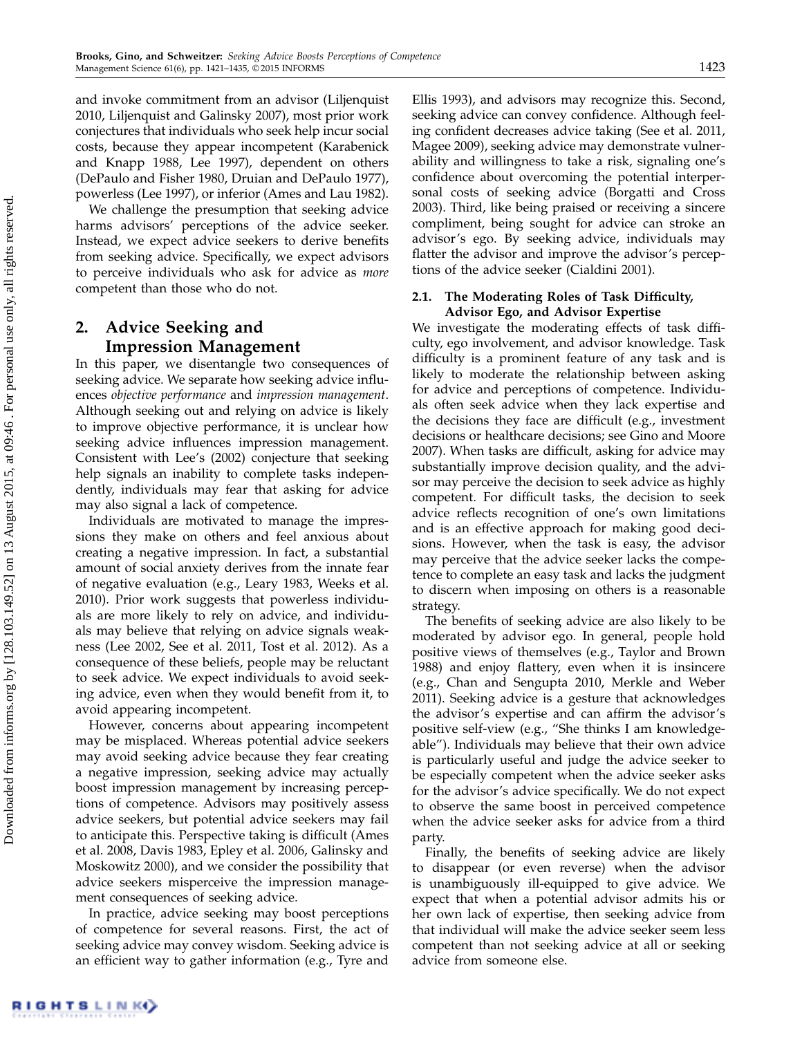and invoke commitment from an advisor (Liljenquist 2010, Liljenquist and Galinsky 2007), most prior work conjectures that individuals who seek help incur social costs, because they appear incompetent (Karabenick and Knapp 1988, Lee 1997), dependent on others (DePaulo and Fisher 1980, Druian and DePaulo 1977), powerless (Lee 1997), or inferior (Ames and Lau 1982).

We challenge the presumption that seeking advice harms advisors' perceptions of the advice seeker. Instead, we expect advice seekers to derive benefits from seeking advice. Specifically, we expect advisors to perceive individuals who ask for advice as more competent than those who do not.

# 2. Advice Seeking and Impression Management

In this paper, we disentangle two consequences of seeking advice. We separate how seeking advice influences objective performance and impression management. Although seeking out and relying on advice is likely to improve objective performance, it is unclear how seeking advice influences impression management. Consistent with Lee's (2002) conjecture that seeking help signals an inability to complete tasks independently, individuals may fear that asking for advice may also signal a lack of competence.

Individuals are motivated to manage the impressions they make on others and feel anxious about creating a negative impression. In fact, a substantial amount of social anxiety derives from the innate fear of negative evaluation (e.g., Leary 1983, Weeks et al. 2010). Prior work suggests that powerless individuals are more likely to rely on advice, and individuals may believe that relying on advice signals weakness (Lee 2002, See et al. 2011, Tost et al. 2012). As a consequence of these beliefs, people may be reluctant to seek advice. We expect individuals to avoid seeking advice, even when they would benefit from it, to avoid appearing incompetent.

However, concerns about appearing incompetent may be misplaced. Whereas potential advice seekers may avoid seeking advice because they fear creating a negative impression, seeking advice may actually boost impression management by increasing perceptions of competence. Advisors may positively assess advice seekers, but potential advice seekers may fail to anticipate this. Perspective taking is difficult (Ames et al. 2008, Davis 1983, Epley et al. 2006, Galinsky and Moskowitz 2000), and we consider the possibility that advice seekers misperceive the impression management consequences of seeking advice.

In practice, advice seeking may boost perceptions of competence for several reasons. First, the act of seeking advice may convey wisdom. Seeking advice is an efficient way to gather information (e.g., Tyre and Ellis 1993), and advisors may recognize this. Second, seeking advice can convey confidence. Although feeling confident decreases advice taking (See et al. 2011, Magee 2009), seeking advice may demonstrate vulnerability and willingness to take a risk, signaling one's confidence about overcoming the potential interpersonal costs of seeking advice (Borgatti and Cross 2003). Third, like being praised or receiving a sincere compliment, being sought for advice can stroke an advisor's ego. By seeking advice, individuals may flatter the advisor and improve the advisor's perceptions of the advice seeker (Cialdini 2001).

#### 2.1. The Moderating Roles of Task Difficulty, Advisor Ego, and Advisor Expertise

We investigate the moderating effects of task difficulty, ego involvement, and advisor knowledge. Task difficulty is a prominent feature of any task and is likely to moderate the relationship between asking for advice and perceptions of competence. Individuals often seek advice when they lack expertise and the decisions they face are difficult (e.g., investment decisions or healthcare decisions; see Gino and Moore 2007). When tasks are difficult, asking for advice may substantially improve decision quality, and the advisor may perceive the decision to seek advice as highly competent. For difficult tasks, the decision to seek advice reflects recognition of one's own limitations and is an effective approach for making good decisions. However, when the task is easy, the advisor may perceive that the advice seeker lacks the competence to complete an easy task and lacks the judgment to discern when imposing on others is a reasonable strategy.

The benefits of seeking advice are also likely to be moderated by advisor ego. In general, people hold positive views of themselves (e.g., Taylor and Brown 1988) and enjoy flattery, even when it is insincere (e.g., Chan and Sengupta 2010, Merkle and Weber 2011). Seeking advice is a gesture that acknowledges the advisor's expertise and can affirm the advisor's positive self-view (e.g., "She thinks I am knowledgeable"). Individuals may believe that their own advice is particularly useful and judge the advice seeker to be especially competent when the advice seeker asks for the advisor's advice specifically. We do not expect to observe the same boost in perceived competence when the advice seeker asks for advice from a third party.

Finally, the benefits of seeking advice are likely to disappear (or even reverse) when the advisor is unambiguously ill-equipped to give advice. We expect that when a potential advisor admits his or her own lack of expertise, then seeking advice from that individual will make the advice seeker seem less competent than not seeking advice at all or seeking advice from someone else.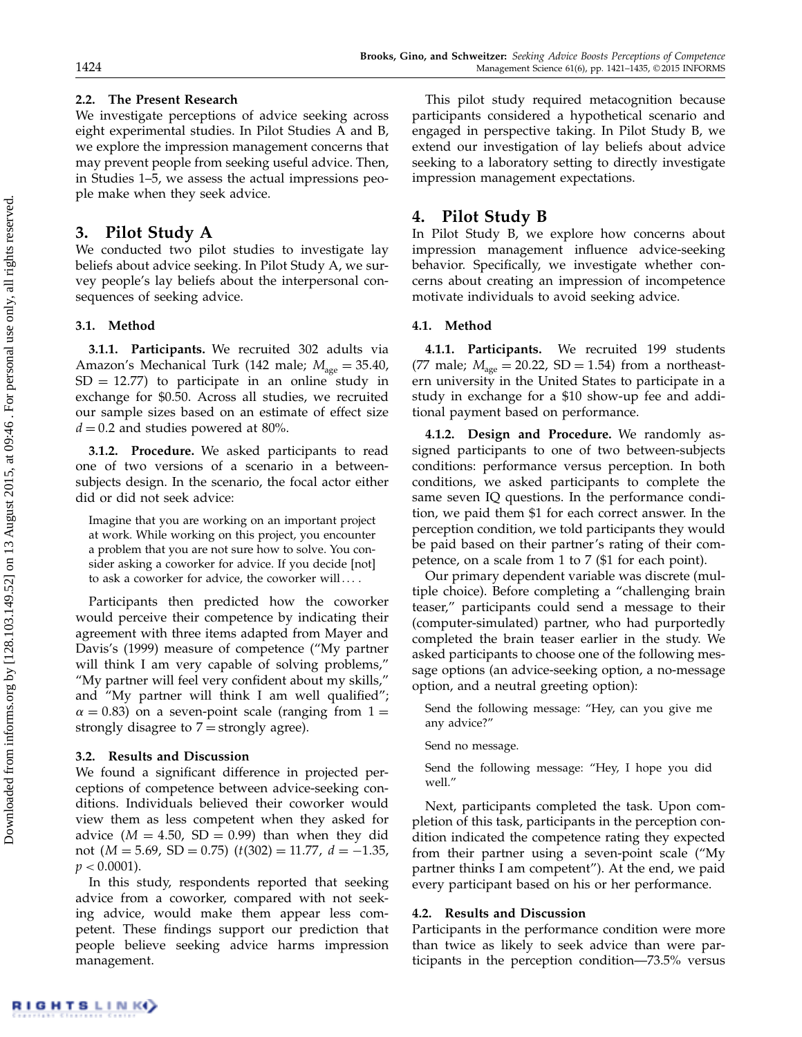# 2.2. The Present Research

We investigate perceptions of advice seeking across eight experimental studies. In Pilot Studies A and B, we explore the impression management concerns that may prevent people from seeking useful advice. Then, in Studies 1–5, we assess the actual impressions people make when they seek advice.

# 3. Pilot Study A

We conducted two pilot studies to investigate lay beliefs about advice seeking. In Pilot Study A, we survey people's lay beliefs about the interpersonal consequences of seeking advice.

# 3.1. Method

3.1.1. Participants. We recruited 302 adults via Amazon's Mechanical Turk (142 male;  $M_{\text{age}} = 35.40$ ,  $SD = 12.77$ ) to participate in an online study in exchange for \$0.50. Across all studies, we recruited our sample sizes based on an estimate of effect size  $d = 0.2$  and studies powered at 80%.

3.1.2. Procedure. We asked participants to read one of two versions of a scenario in a betweensubjects design. In the scenario, the focal actor either did or did not seek advice:

Imagine that you are working on an important project at work. While working on this project, you encounter a problem that you are not sure how to solve. You consider asking a coworker for advice. If you decide [not] to ask a coworker for advice, the coworker will $\ldots$ 

Participants then predicted how the coworker would perceive their competence by indicating their agreement with three items adapted from Mayer and Davis's (1999) measure of competence ("My partner will think I am very capable of solving problems," "My partner will feel very confident about my skills," and "My partner will think I am well qualified";  $\alpha$  = 0.83) on a seven-point scale (ranging from 1 = strongly disagree to  $7 =$  strongly agree).

# 3.2. Results and Discussion

We found a significant difference in projected perceptions of competence between advice-seeking conditions. Individuals believed their coworker would view them as less competent when they asked for advice ( $M = 4.50$ , SD = 0.99) than when they did not ( $M = 5.69$ , SD = 0.75) ( $t(302) = 11.77$ ,  $d = -1.35$ ,  $p < 0.0001$ ).

In this study, respondents reported that seeking advice from a coworker, compared with not seeking advice, would make them appear less competent. These findings support our prediction that people believe seeking advice harms impression management.

This pilot study required metacognition because participants considered a hypothetical scenario and engaged in perspective taking. In Pilot Study B, we extend our investigation of lay beliefs about advice seeking to a laboratory setting to directly investigate impression management expectations.

# 4. Pilot Study B

In Pilot Study B, we explore how concerns about impression management influence advice-seeking behavior. Specifically, we investigate whether concerns about creating an impression of incompetence motivate individuals to avoid seeking advice.

# 4.1. Method

4.1.1. Participants. We recruited 199 students (77 male;  $M_{\text{age}} = 20.22$ , SD = 1.54) from a northeastern university in the United States to participate in a study in exchange for a \$10 show-up fee and additional payment based on performance.

4.1.2. Design and Procedure. We randomly assigned participants to one of two between-subjects conditions: performance versus perception. In both conditions, we asked participants to complete the same seven IQ questions. In the performance condition, we paid them \$1 for each correct answer. In the perception condition, we told participants they would be paid based on their partner's rating of their competence, on a scale from 1 to 7 (\$1 for each point).

Our primary dependent variable was discrete (multiple choice). Before completing a "challenging brain teaser," participants could send a message to their (computer-simulated) partner, who had purportedly completed the brain teaser earlier in the study. We asked participants to choose one of the following message options (an advice-seeking option, a no-message option, and a neutral greeting option):

Send the following message: "Hey, can you give me any advice?"

Send no message.

Send the following message: "Hey, I hope you did well."

Next, participants completed the task. Upon completion of this task, participants in the perception condition indicated the competence rating they expected from their partner using a seven-point scale ("My partner thinks I am competent"). At the end, we paid every participant based on his or her performance.

# 4.2. Results and Discussion

Participants in the performance condition were more than twice as likely to seek advice than were participants in the perception condition—73.5% versus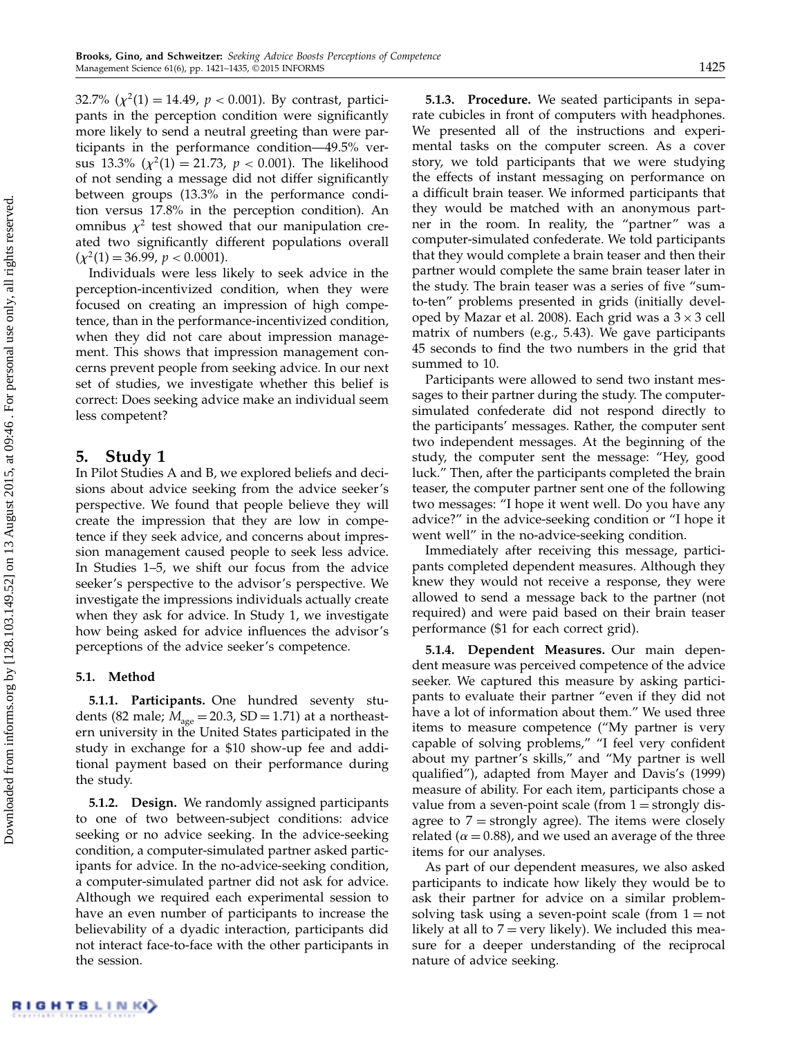32.7%  $(\chi^2(1) = 14.49, p < 0.001)$ . By contrast, participants in the perception condition were significantly more likely to send a neutral greeting than were participants in the performance condition—49.5% versus 13.3%  $(\chi^2(1) = 21.73, p < 0.001)$ . The likelihood of not sending a message did not differ significantly between groups (13.3% in the performance condition versus 17.8% in the perception condition). An omnibus  $\chi^2$  test showed that our manipulation created two significantly different populations overall  $(\chi^2(1) = 36.99, p < 0.0001).$ 

Individuals were less likely to seek advice in the perception-incentivized condition, when they were focused on creating an impression of high competence, than in the performance-incentivized condition, when they did not care about impression management. This shows that impression management concerns prevent people from seeking advice. In our next set of studies, we investigate whether this belief is correct: Does seeking advice make an individual seem less competent?

# 5. Study 1

In Pilot Studies A and B, we explored beliefs and decisions about advice seeking from the advice seeker's perspective. We found that people believe they will create the impression that they are low in competence if they seek advice, and concerns about impression management caused people to seek less advice. In Studies 1–5, we shift our focus from the advice seeker's perspective to the advisor's perspective. We investigate the impressions individuals actually create when they ask for advice. In Study 1, we investigate how being asked for advice influences the advisor's perceptions of the advice seeker's competence.

# 5.1. Method

5.1.1. Participants. One hundred seventy students (82 male;  $M_{\text{age}} = 20.3$ , SD = 1.71) at a northeastern university in the United States participated in the study in exchange for a \$10 show-up fee and additional payment based on their performance during the study.

5.1.2. Design. We randomly assigned participants to one of two between-subject conditions: advice seeking or no advice seeking. In the advice-seeking condition, a computer-simulated partner asked participants for advice. In the no-advice-seeking condition, a computer-simulated partner did not ask for advice. Although we required each experimental session to have an even number of participants to increase the believability of a dyadic interaction, participants did not interact face-to-face with the other participants in the session.

5.1.3. Procedure. We seated participants in separate cubicles in front of computers with headphones. We presented all of the instructions and experimental tasks on the computer screen. As a cover story, we told participants that we were studying the effects of instant messaging on performance on a difficult brain teaser. We informed participants that they would be matched with an anonymous partner in the room. In reality, the "partner" was a computer-simulated confederate. We told participants that they would complete a brain teaser and then their partner would complete the same brain teaser later in the study. The brain teaser was a series of five "sumto-ten" problems presented in grids (initially developed by Mazar et al. 2008). Each grid was a  $3 \times 3$  cell matrix of numbers (e.g., 5.43). We gave participants 45 seconds to find the two numbers in the grid that summed to 10.

Participants were allowed to send two instant messages to their partner during the study. The computersimulated confederate did not respond directly to the participants' messages. Rather, the computer sent two independent messages. At the beginning of the study, the computer sent the message: "Hey, good luck." Then, after the participants completed the brain teaser, the computer partner sent one of the following two messages: "I hope it went well. Do you have any advice?" in the advice-seeking condition or "I hope it went well" in the no-advice-seeking condition.

Immediately after receiving this message, participants completed dependent measures. Although they knew they would not receive a response, they were allowed to send a message back to the partner (not required) and were paid based on their brain teaser performance (\$1 for each correct grid).

5.1.4. Dependent Measures. Our main dependent measure was perceived competence of the advice seeker. We captured this measure by asking participants to evaluate their partner "even if they did not have a lot of information about them." We used three items to measure competence ("My partner is very capable of solving problems," "I feel very confident about my partner's skills," and "My partner is well qualified"), adapted from Mayer and Davis's (1999) measure of ability. For each item, participants chose a value from a seven-point scale (from  $1 =$  strongly disagree to  $7 =$  strongly agree). The items were closely related ( $\alpha$  = 0.88), and we used an average of the three items for our analyses.

As part of our dependent measures, we also asked participants to indicate how likely they would be to ask their partner for advice on a similar problemsolving task using a seven-point scale (from  $1 = not$ likely at all to  $7 = \text{very likely}$ . We included this measure for a deeper understanding of the reciprocal nature of advice seeking.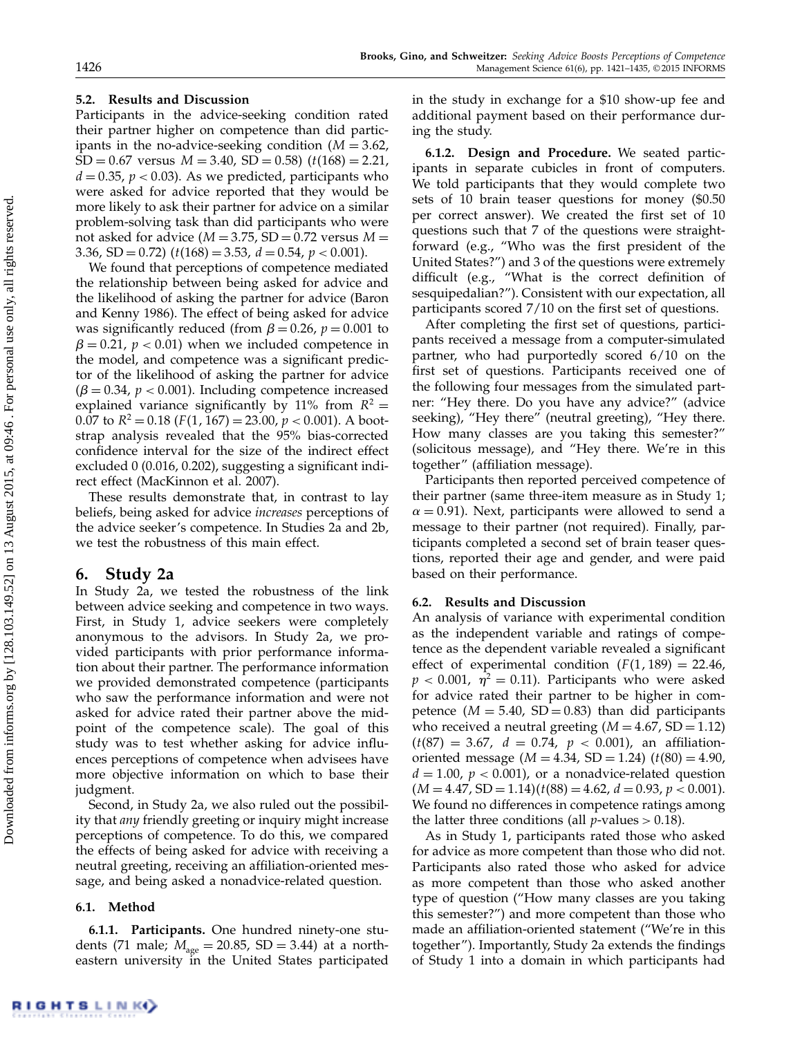#### 5.2. Results and Discussion

Participants in the advice-seeking condition rated their partner higher on competence than did participants in the no-advice-seeking condition  $(M = 3.62)$ ,  $SD = 0.67$  versus  $M = 3.40$ ,  $SD = 0.58$ )  $(t(168) = 2.21$ ,  $d = 0.35$ ,  $p < 0.03$ ). As we predicted, participants who were asked for advice reported that they would be more likely to ask their partner for advice on a similar problem-solving task than did participants who were not asked for advice ( $M = 3.75$ , SD = 0.72 versus  $M =$ 3.36, SD = 0.72) ( $t(168) = 3.53$ ,  $d = 0.54$ ,  $p < 0.001$ ).

We found that perceptions of competence mediated the relationship between being asked for advice and the likelihood of asking the partner for advice (Baron and Kenny 1986). The effect of being asked for advice was significantly reduced (from  $\beta = 0.26$ ,  $p = 0.001$  to  $\beta$  = 0.21, p < 0.01) when we included competence in the model, and competence was a significant predictor of the likelihood of asking the partner for advice  $(\beta = 0.34, p < 0.001)$ . Including competence increased explained variance significantly by 11% from  $R^2 =$ 0.07 to  $R^2 = 0.18$  (F(1, 167) = 23.00,  $p < 0.001$ ). A bootstrap analysis revealed that the 95% bias-corrected confidence interval for the size of the indirect effect excluded 0 (0.016, 0.202), suggesting a significant indirect effect (MacKinnon et al. 2007).

These results demonstrate that, in contrast to lay beliefs, being asked for advice increases perceptions of the advice seeker's competence. In Studies 2a and 2b, we test the robustness of this main effect.

# 6. Study 2a

In Study 2a, we tested the robustness of the link between advice seeking and competence in two ways. First, in Study 1, advice seekers were completely anonymous to the advisors. In Study 2a, we provided participants with prior performance information about their partner. The performance information we provided demonstrated competence (participants who saw the performance information and were not asked for advice rated their partner above the midpoint of the competence scale). The goal of this study was to test whether asking for advice influences perceptions of competence when advisees have more objective information on which to base their judgment.

Second, in Study 2a, we also ruled out the possibility that any friendly greeting or inquiry might increase perceptions of competence. To do this, we compared the effects of being asked for advice with receiving a neutral greeting, receiving an affiliation-oriented message, and being asked a nonadvice-related question.

#### 6.1. Method

6.1.1. Participants. One hundred ninety-one students (71 male;  $M_{\text{age}} = 20.85$ , SD = 3.44) at a northeastern university in the United States participated in the study in exchange for a \$10 show-up fee and additional payment based on their performance during the study.

6.1.2. Design and Procedure. We seated participants in separate cubicles in front of computers. We told participants that they would complete two sets of 10 brain teaser questions for money (\$0.50 per correct answer). We created the first set of 10 questions such that 7 of the questions were straightforward (e.g., "Who was the first president of the United States?") and 3 of the questions were extremely difficult (e.g., "What is the correct definition of sesquipedalian?"). Consistent with our expectation, all participants scored 7/10 on the first set of questions.

After completing the first set of questions, participants received a message from a computer-simulated partner, who had purportedly scored 6/10 on the first set of questions. Participants received one of the following four messages from the simulated partner: "Hey there. Do you have any advice?" (advice seeking), "Hey there" (neutral greeting), "Hey there. How many classes are you taking this semester?" (solicitous message), and "Hey there. We're in this together" (affiliation message).

Participants then reported perceived competence of their partner (same three-item measure as in Study 1;  $\alpha$  = 0.91). Next, participants were allowed to send a message to their partner (not required). Finally, participants completed a second set of brain teaser questions, reported their age and gender, and were paid based on their performance.

#### 6.2. Results and Discussion

An analysis of variance with experimental condition as the independent variable and ratings of competence as the dependent variable revealed a significant effect of experimental condition  $(F(1, 189) = 22.46$ ,  $p < 0.001$ ,  $\eta^2 = 0.11$ ). Participants who were asked for advice rated their partner to be higher in competence ( $M = 5.40$ , SD = 0.83) than did participants who received a neutral greeting  $(M = 4.67, SD = 1.12)$  $(t(87) = 3.67, d = 0.74, p < 0.001)$ , an affiliationoriented message ( $M = 4.34$ , SD = 1.24) ( $t(80) = 4.90$ ,  $d = 1.00$ ,  $p < 0.001$ ), or a nonadvice-related question  $(M = 4.47, SD = 1.14)(t(88) = 4.62, d = 0.93, p < 0.001).$ We found no differences in competence ratings among the latter three conditions (all  $p$ -values  $> 0.18$ ).

As in Study 1, participants rated those who asked for advice as more competent than those who did not. Participants also rated those who asked for advice as more competent than those who asked another type of question ("How many classes are you taking this semester?") and more competent than those who made an affiliation-oriented statement ("We're in this together"). Importantly, Study 2a extends the findings of Study 1 into a domain in which participants had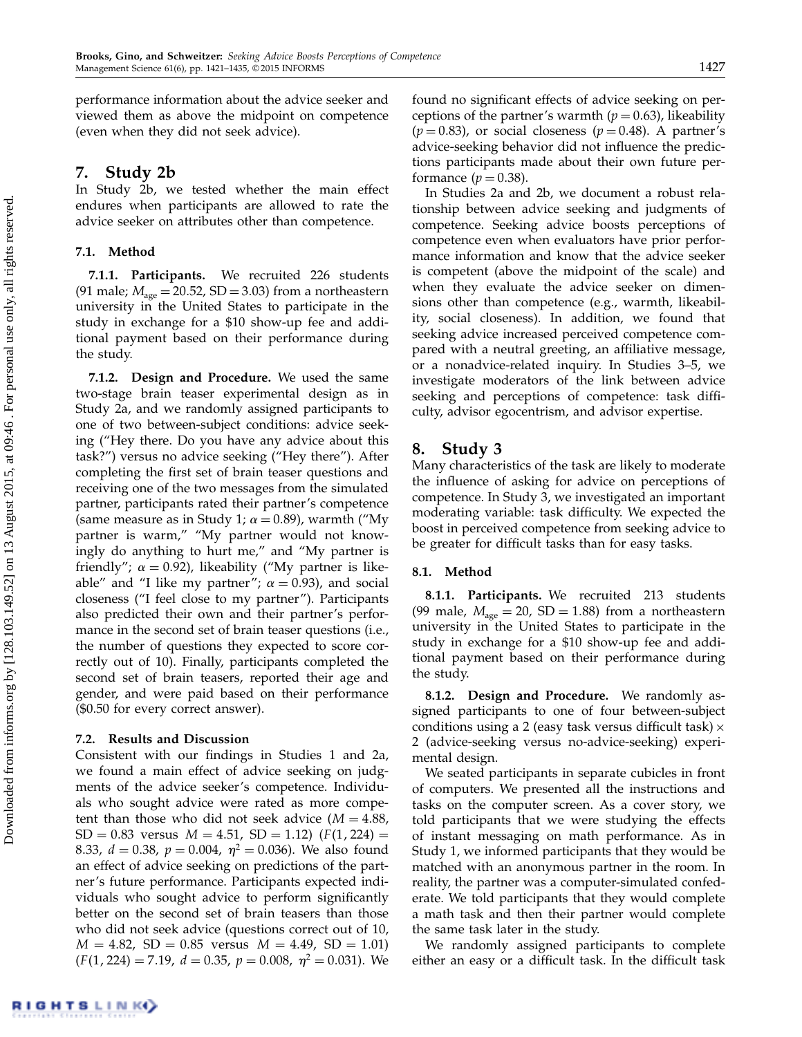performance information about the advice seeker and viewed them as above the midpoint on competence (even when they did not seek advice).

# 7. Study 2b

In Study 2b, we tested whether the main effect endures when participants are allowed to rate the advice seeker on attributes other than competence.

## 7.1. Method

7.1.1. Participants. We recruited 226 students (91 male;  $M_{\text{age}} = 20.52$ , SD = 3.03) from a northeastern university in the United States to participate in the study in exchange for a \$10 show-up fee and additional payment based on their performance during the study.

7.1.2. Design and Procedure. We used the same two-stage brain teaser experimental design as in Study 2a, and we randomly assigned participants to one of two between-subject conditions: advice seeking ("Hey there. Do you have any advice about this task?") versus no advice seeking ("Hey there"). After completing the first set of brain teaser questions and receiving one of the two messages from the simulated partner, participants rated their partner's competence (same measure as in Study 1;  $\alpha = 0.89$ ), warmth ("My partner is warm," "My partner would not knowingly do anything to hurt me," and "My partner is friendly";  $\alpha = 0.92$ ), likeability ("My partner is likeable" and "I like my partner";  $\alpha = 0.93$ ), and social closeness ("I feel close to my partner"). Participants also predicted their own and their partner's performance in the second set of brain teaser questions (i.e., the number of questions they expected to score correctly out of 10). Finally, participants completed the second set of brain teasers, reported their age and gender, and were paid based on their performance (\$0.50 for every correct answer).

#### 7.2. Results and Discussion

Consistent with our findings in Studies 1 and 2a, we found a main effect of advice seeking on judgments of the advice seeker's competence. Individuals who sought advice were rated as more competent than those who did not seek advice  $(M = 4.88)$ ,  $SD = 0.83$  versus  $M = 4.51$ ,  $SD = 1.12$ )  $(F(1, 224) =$ 8.33,  $d = 0.38$ ,  $p = 0.004$ ,  $\eta^2 = 0.036$ ). We also found an effect of advice seeking on predictions of the partner's future performance. Participants expected individuals who sought advice to perform significantly better on the second set of brain teasers than those who did not seek advice (questions correct out of 10,  $M = 4.82$ , SD = 0.85 versus  $M = 4.49$ , SD = 1.01)  $(F(1, 224) = 7.19, d = 0.35, p = 0.008, \eta^2 = 0.031)$ . We

found no significant effects of advice seeking on perceptions of the partner's warmth ( $p = 0.63$ ), likeability  $(p=0.83)$ , or social closeness  $(p=0.48)$ . A partner's advice-seeking behavior did not influence the predictions participants made about their own future performance  $(p = 0.38)$ .

In Studies 2a and 2b, we document a robust relationship between advice seeking and judgments of competence. Seeking advice boosts perceptions of competence even when evaluators have prior performance information and know that the advice seeker is competent (above the midpoint of the scale) and when they evaluate the advice seeker on dimensions other than competence (e.g., warmth, likeability, social closeness). In addition, we found that seeking advice increased perceived competence compared with a neutral greeting, an affiliative message, or a nonadvice-related inquiry. In Studies 3–5, we investigate moderators of the link between advice seeking and perceptions of competence: task difficulty, advisor egocentrism, and advisor expertise.

# 8. Study 3

Many characteristics of the task are likely to moderate the influence of asking for advice on perceptions of competence. In Study 3, we investigated an important moderating variable: task difficulty. We expected the boost in perceived competence from seeking advice to be greater for difficult tasks than for easy tasks.

#### 8.1. Method

8.1.1. Participants. We recruited 213 students (99 male,  $M_{\text{age}} = 20$ , SD = 1.88) from a northeastern university in the United States to participate in the study in exchange for a \$10 show-up fee and additional payment based on their performance during the study.

8.1.2. Design and Procedure. We randomly assigned participants to one of four between-subject conditions using a 2 (easy task versus difficult task)  $\times$ 2 (advice-seeking versus no-advice-seeking) experimental design.

We seated participants in separate cubicles in front of computers. We presented all the instructions and tasks on the computer screen. As a cover story, we told participants that we were studying the effects of instant messaging on math performance. As in Study 1, we informed participants that they would be matched with an anonymous partner in the room. In reality, the partner was a computer-simulated confederate. We told participants that they would complete a math task and then their partner would complete the same task later in the study.

We randomly assigned participants to complete either an easy or a difficult task. In the difficult task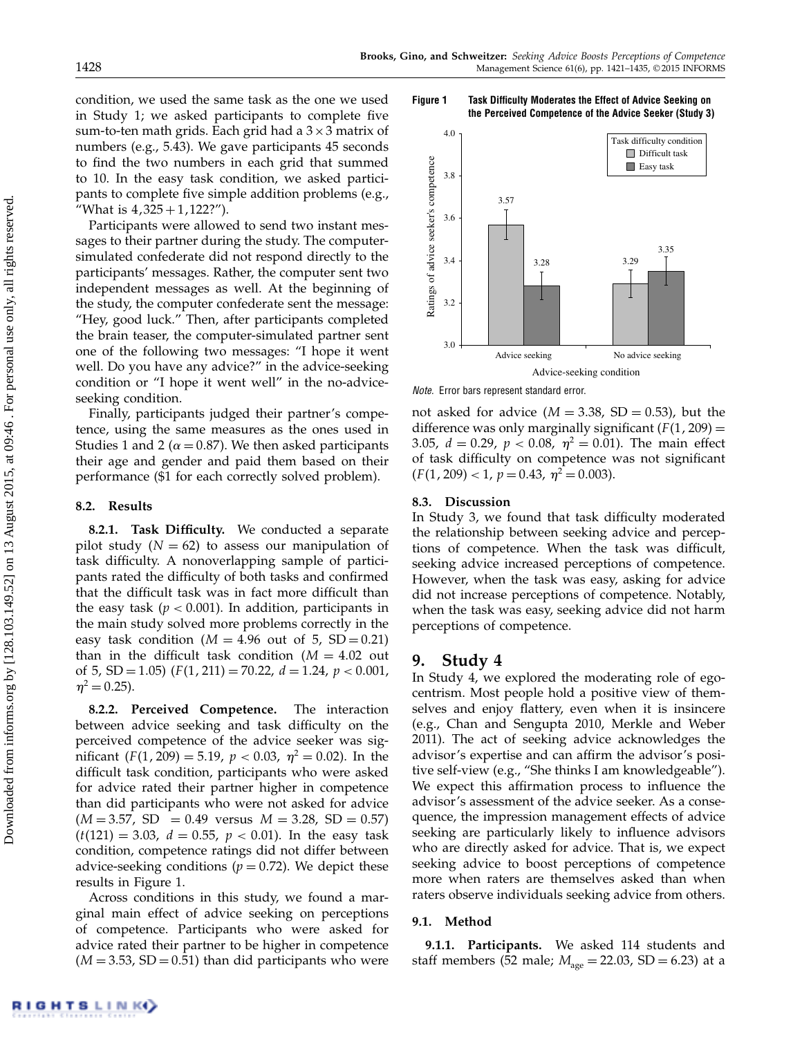condition, we used the same task as the one we used in Study 1; we asked participants to complete five sum-to-ten math grids. Each grid had a  $3 \times 3$  matrix of numbers (e.g., 5.43). We gave participants 45 seconds to find the two numbers in each grid that summed to 10. In the easy task condition, we asked participants to complete five simple addition problems (e.g., "What is  $4,325 + 1,122$ ?").

Participants were allowed to send two instant messages to their partner during the study. The computersimulated confederate did not respond directly to the participants' messages. Rather, the computer sent two independent messages as well. At the beginning of the study, the computer confederate sent the message: "Hey, good luck." Then, after participants completed the brain teaser, the computer-simulated partner sent one of the following two messages: "I hope it went well. Do you have any advice?" in the advice-seeking condition or "I hope it went well" in the no-adviceseeking condition.

Finally, participants judged their partner's competence, using the same measures as the ones used in Studies 1 and 2 ( $\alpha$  = 0.87). We then asked participants their age and gender and paid them based on their performance (\$1 for each correctly solved problem).

#### 8.2. Results

8.2.1. Task Difficulty. We conducted a separate pilot study ( $N = 62$ ) to assess our manipulation of task difficulty. A nonoverlapping sample of participants rated the difficulty of both tasks and confirmed that the difficult task was in fact more difficult than the easy task ( $p < 0.001$ ). In addition, participants in the main study solved more problems correctly in the easy task condition ( $M = 4.96$  out of 5, SD = 0.21) than in the difficult task condition  $(M = 4.02$  out of 5,  $SD = 1.05$ )  $(F(1, 211) = 70.22, d = 1.24, p < 0.001,$  $\eta^2 = 0.25$ ).

8.2.2. Perceived Competence. The interaction between advice seeking and task difficulty on the perceived competence of the advice seeker was significant (F(1, 209) = 5.19,  $p < 0.03$ ,  $\eta^2 = 0.02$ ). In the difficult task condition, participants who were asked for advice rated their partner higher in competence than did participants who were not asked for advice  $(M = 3.57, SD = 0.49$  versus  $M = 3.28, SD = 0.57$  $(t(121) = 3.03, d = 0.55, p < 0.01)$ . In the easy task condition, competence ratings did not differ between advice-seeking conditions ( $p = 0.72$ ). We depict these results in Figure 1.

Across conditions in this study, we found a marginal main effect of advice seeking on perceptions of competence. Participants who were asked for advice rated their partner to be higher in competence  $(M = 3.53, SD = 0.51)$  than did participants who were

Figure 1 Task Difficulty Moderates the Effect of Advice Seeking on the Perceived Competence of the Advice Seeker (Study 3)



Note. Error bars represent standard error.

not asked for advice  $(M = 3.38, SD = 0.53)$ , but the difference was only marginally significant  $(F(1, 209) =$ 3.05,  $d = 0.29$ ,  $p < 0.08$ ,  $\eta^2 = 0.01$ ). The main effect of task difficulty on competence was not significant  $(F(1, 209) < 1, p = 0.43, \eta^2 = 0.003).$ 

#### 8.3. Discussion

In Study 3, we found that task difficulty moderated the relationship between seeking advice and perceptions of competence. When the task was difficult, seeking advice increased perceptions of competence. However, when the task was easy, asking for advice did not increase perceptions of competence. Notably, when the task was easy, seeking advice did not harm perceptions of competence.

# 9. Study 4

In Study 4, we explored the moderating role of egocentrism. Most people hold a positive view of themselves and enjoy flattery, even when it is insincere (e.g., Chan and Sengupta 2010, Merkle and Weber 2011). The act of seeking advice acknowledges the advisor's expertise and can affirm the advisor's positive self-view (e.g., "She thinks I am knowledgeable"). We expect this affirmation process to influence the advisor's assessment of the advice seeker. As a consequence, the impression management effects of advice seeking are particularly likely to influence advisors who are directly asked for advice. That is, we expect seeking advice to boost perceptions of competence more when raters are themselves asked than when raters observe individuals seeking advice from others.

#### 9.1. Method

9.1.1. Participants. We asked 114 students and staff members (52 male;  $M_{\text{age}} = 22.03$ , SD = 6.23) at a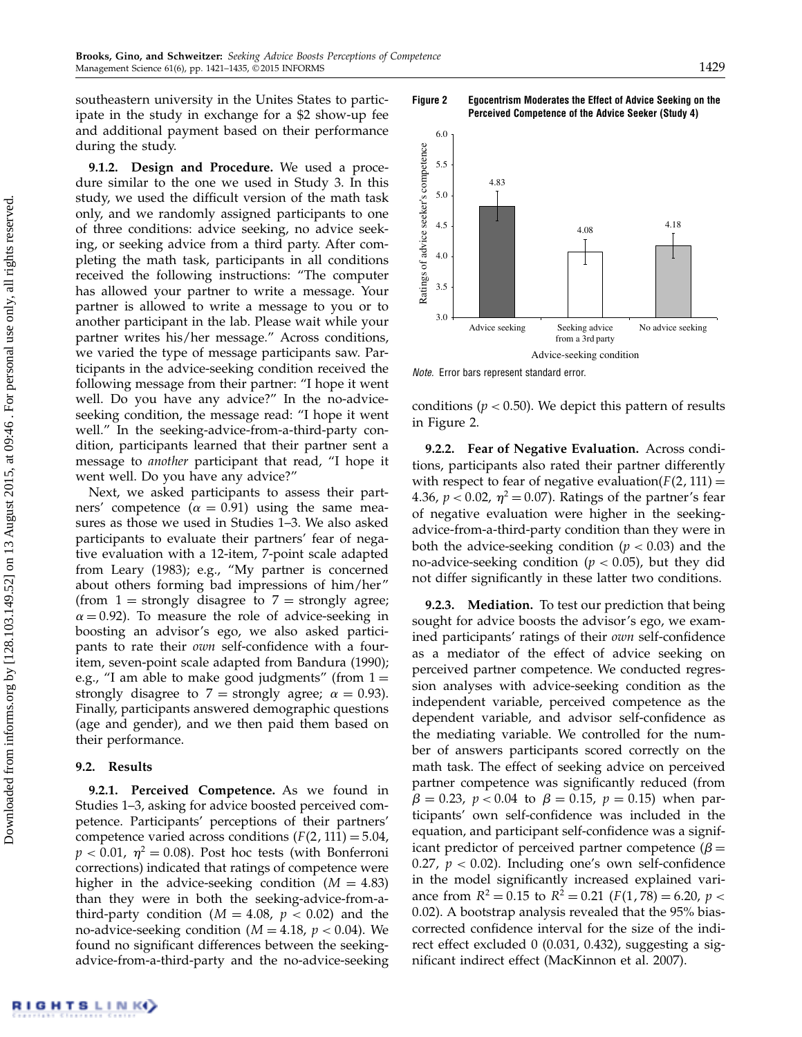southeastern university in the Unites States to participate in the study in exchange for a \$2 show-up fee and additional payment based on their performance during the study.

9.1.2. Design and Procedure. We used a procedure similar to the one we used in Study 3. In this study, we used the difficult version of the math task only, and we randomly assigned participants to one of three conditions: advice seeking, no advice seeking, or seeking advice from a third party. After completing the math task, participants in all conditions received the following instructions: "The computer has allowed your partner to write a message. Your partner is allowed to write a message to you or to another participant in the lab. Please wait while your partner writes his/her message." Across conditions, we varied the type of message participants saw. Participants in the advice-seeking condition received the following message from their partner: "I hope it went well. Do you have any advice?" In the no-adviceseeking condition, the message read: "I hope it went well." In the seeking-advice-from-a-third-party condition, participants learned that their partner sent a message to another participant that read, "I hope it went well. Do you have any advice?"

Next, we asked participants to assess their partners' competence ( $\alpha = 0.91$ ) using the same measures as those we used in Studies 1–3. We also asked participants to evaluate their partners' fear of negative evaluation with a 12-item, 7-point scale adapted from Leary (1983); e.g., "My partner is concerned about others forming bad impressions of him/her" (from  $1 =$  strongly disagree to  $7 =$  strongly agree;  $\alpha$  = 0.92). To measure the role of advice-seeking in boosting an advisor's ego, we also asked participants to rate their own self-confidence with a fouritem, seven-point scale adapted from Bandura (1990); e.g., "I am able to make good judgments" (from  $1 =$ strongly disagree to  $7 =$  strongly agree;  $\alpha = 0.93$ ). Finally, participants answered demographic questions (age and gender), and we then paid them based on their performance.

#### 9.2. Results

9.2.1. Perceived Competence. As we found in Studies 1–3, asking for advice boosted perceived competence. Participants' perceptions of their partners' competence varied across conditions  $(F(2, 111) = 5.04,$  $p < 0.01$ ,  $\eta^2 = 0.08$ ). Post hoc tests (with Bonferroni corrections) indicated that ratings of competence were higher in the advice-seeking condition  $(M = 4.83)$ than they were in both the seeking-advice-from-athird-party condition ( $M = 4.08$ ,  $p < 0.02$ ) and the no-advice-seeking condition ( $M = 4.18$ ,  $p < 0.04$ ). We found no significant differences between the seekingadvice-from-a-third-party and the no-advice-seeking



 $3.0$ 

 $3.5$ 

 $4.0$ 

 $4.5$ 

Ratings of advice seeker's competence

Ratings of advice seeker's competence

 $5.0\,$ 

5.5

 $6.0\,$ 

4.83

conditions ( $p < 0.50$ ). We depict this pattern of results in Figure 2.

from a 3rd party Advice-seeking condition

Advice seeking Seeking advice

9.2.2. Fear of Negative Evaluation. Across conditions, participants also rated their partner differently with respect to fear of negative evaluation( $F(2, 111) =$ 4.36,  $p < 0.02$ ,  $\eta^2 = 0.07$ ). Ratings of the partner's fear of negative evaluation were higher in the seekingadvice-from-a-third-party condition than they were in both the advice-seeking condition ( $p < 0.03$ ) and the no-advice-seeking condition ( $p < 0.05$ ), but they did not differ significantly in these latter two conditions.

9.2.3. Mediation. To test our prediction that being sought for advice boosts the advisor's ego, we examined participants' ratings of their own self-confidence as a mediator of the effect of advice seeking on perceived partner competence. We conducted regression analyses with advice-seeking condition as the independent variable, perceived competence as the dependent variable, and advisor self-confidence as the mediating variable. We controlled for the number of answers participants scored correctly on the math task. The effect of seeking advice on perceived partner competence was significantly reduced (from  $\beta = 0.23$ ,  $p < 0.04$  to  $\beta = 0.15$ ,  $p = 0.15$ ) when participants' own self-confidence was included in the equation, and participant self-confidence was a significant predictor of perceived partner competence ( $\beta$  = 0.27,  $p < 0.02$ ). Including one's own self-confidence in the model significantly increased explained variance from  $R^2 = 0.15$  to  $R^2 = 0.21$  ( $F(1, 78) = 6.20$ ,  $p <$ 0.02). A bootstrap analysis revealed that the 95% biascorrected confidence interval for the size of the indirect effect excluded 0 (0.031, 0.432), suggesting a significant indirect effect (MacKinnon et al. 2007).

Figure 2 Egocentrism Moderates the Effect of Advice Seeking on the Perceived Competence of the Advice Seeker (Study 4)

No advice seeking

 $4.08$   $4.18$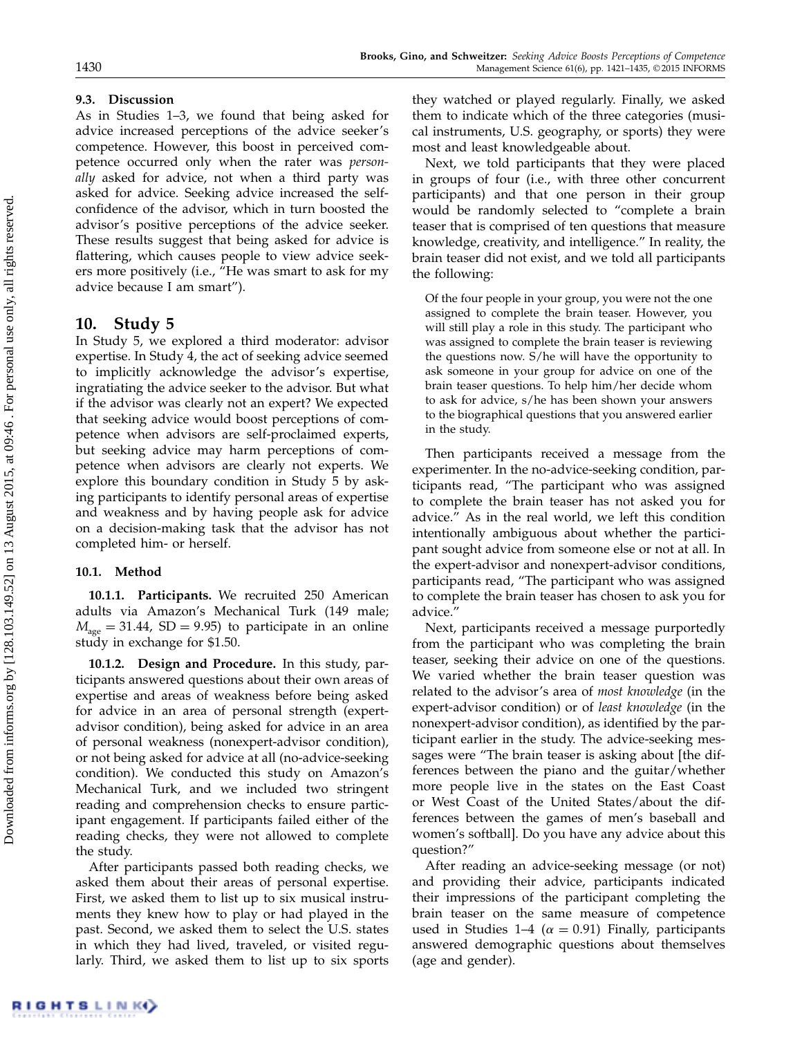# 9.3. Discussion

As in Studies 1–3, we found that being asked for advice increased perceptions of the advice seeker's competence. However, this boost in perceived competence occurred only when the rater was *person*ally asked for advice, not when a third party was asked for advice. Seeking advice increased the selfconfidence of the advisor, which in turn boosted the advisor's positive perceptions of the advice seeker. These results suggest that being asked for advice is flattering, which causes people to view advice seekers more positively (i.e., "He was smart to ask for my advice because I am smart").

# 10. Study 5

In Study 5, we explored a third moderator: advisor expertise. In Study 4, the act of seeking advice seemed to implicitly acknowledge the advisor's expertise, ingratiating the advice seeker to the advisor. But what if the advisor was clearly not an expert? We expected that seeking advice would boost perceptions of competence when advisors are self-proclaimed experts, but seeking advice may harm perceptions of competence when advisors are clearly not experts. We explore this boundary condition in Study 5 by asking participants to identify personal areas of expertise and weakness and by having people ask for advice on a decision-making task that the advisor has not completed him- or herself.

# 10.1. Method

10.1.1. Participants. We recruited 250 American adults via Amazon's Mechanical Turk (149 male;  $M_{\text{age}} = 31.44$ , SD = 9.95) to participate in an online study in exchange for \$1.50.

10.1.2. Design and Procedure. In this study, participants answered questions about their own areas of expertise and areas of weakness before being asked for advice in an area of personal strength (expertadvisor condition), being asked for advice in an area of personal weakness (nonexpert-advisor condition), or not being asked for advice at all (no-advice-seeking condition). We conducted this study on Amazon's Mechanical Turk, and we included two stringent reading and comprehension checks to ensure participant engagement. If participants failed either of the reading checks, they were not allowed to complete the study.

After participants passed both reading checks, we asked them about their areas of personal expertise. First, we asked them to list up to six musical instruments they knew how to play or had played in the past. Second, we asked them to select the U.S. states in which they had lived, traveled, or visited regularly. Third, we asked them to list up to six sports they watched or played regularly. Finally, we asked them to indicate which of the three categories (musical instruments, U.S. geography, or sports) they were most and least knowledgeable about.

Next, we told participants that they were placed in groups of four (i.e., with three other concurrent participants) and that one person in their group would be randomly selected to "complete a brain teaser that is comprised of ten questions that measure knowledge, creativity, and intelligence." In reality, the brain teaser did not exist, and we told all participants the following:

Of the four people in your group, you were not the one assigned to complete the brain teaser. However, you will still play a role in this study. The participant who was assigned to complete the brain teaser is reviewing the questions now. S/he will have the opportunity to ask someone in your group for advice on one of the brain teaser questions. To help him/her decide whom to ask for advice, s/he has been shown your answers to the biographical questions that you answered earlier in the study.

Then participants received a message from the experimenter. In the no-advice-seeking condition, participants read, "The participant who was assigned to complete the brain teaser has not asked you for advice." As in the real world, we left this condition intentionally ambiguous about whether the participant sought advice from someone else or not at all. In the expert-advisor and nonexpert-advisor conditions, participants read, "The participant who was assigned to complete the brain teaser has chosen to ask you for advice."

Next, participants received a message purportedly from the participant who was completing the brain teaser, seeking their advice on one of the questions. We varied whether the brain teaser question was related to the advisor's area of most knowledge (in the expert-advisor condition) or of least knowledge (in the nonexpert-advisor condition), as identified by the participant earlier in the study. The advice-seeking messages were "The brain teaser is asking about [the differences between the piano and the guitar/whether more people live in the states on the East Coast or West Coast of the United States/about the differences between the games of men's baseball and women's softball]. Do you have any advice about this question?"

After reading an advice-seeking message (or not) and providing their advice, participants indicated their impressions of the participant completing the brain teaser on the same measure of competence used in Studies 1–4 ( $\alpha$  = 0.91) Finally, participants answered demographic questions about themselves (age and gender).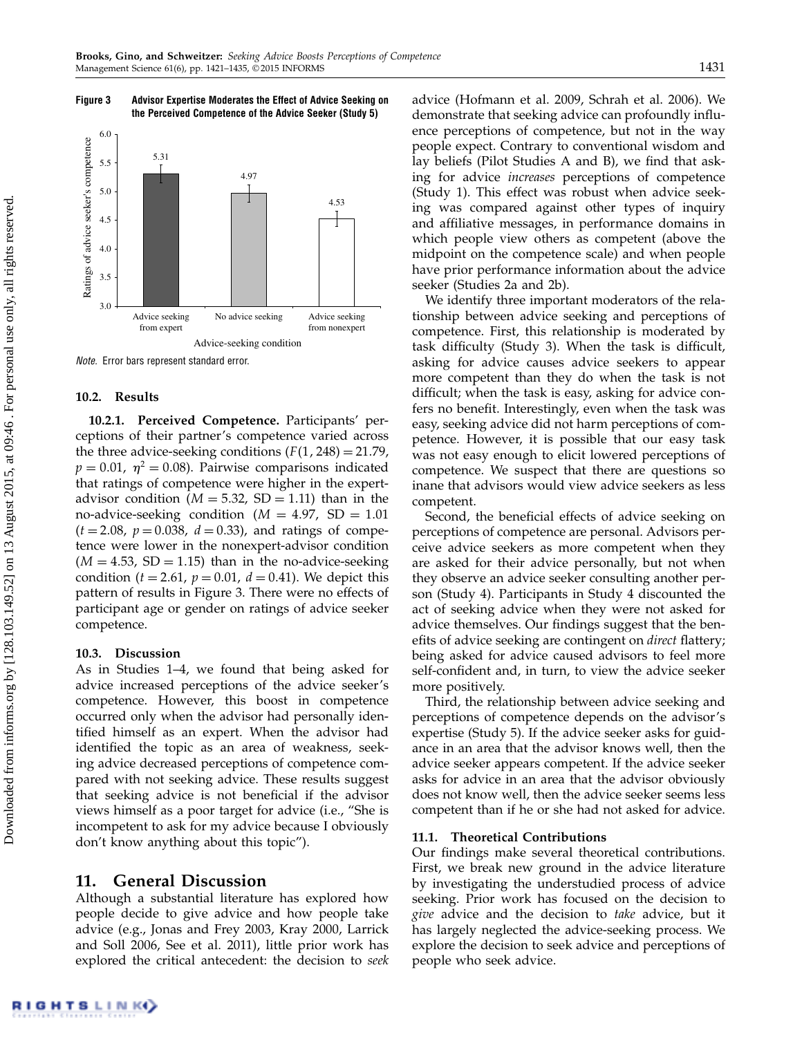#### Figure 3 Advisor Expertise Moderates the Effect of Advice Seeking on the Perceived Competence of the Advice Seeker (Study 5)



Note. Error bars represent standard error.

#### 10.2. Results

10.2.1. Perceived Competence. Participants' perceptions of their partner's competence varied across the three advice-seeking conditions  $(F(1, 248) = 21.79)$ ,  $p = 0.01$ ,  $\eta^2 = 0.08$ ). Pairwise comparisons indicated that ratings of competence were higher in the expertadvisor condition ( $M = 5.32$ , SD = 1.11) than in the no-advice-seeking condition ( $M = 4.97$ , SD = 1.01  $(t = 2.08, p = 0.038, d = 0.33)$ , and ratings of competence were lower in the nonexpert-advisor condition  $(M = 4.53, SD = 1.15)$  than in the no-advice-seeking condition ( $t = 2.61$ ,  $p = 0.01$ ,  $d = 0.41$ ). We depict this pattern of results in Figure 3. There were no effects of participant age or gender on ratings of advice seeker competence.

#### 10.3. Discussion

As in Studies 1–4, we found that being asked for advice increased perceptions of the advice seeker's competence. However, this boost in competence occurred only when the advisor had personally identified himself as an expert. When the advisor had identified the topic as an area of weakness, seeking advice decreased perceptions of competence compared with not seeking advice. These results suggest that seeking advice is not beneficial if the advisor views himself as a poor target for advice (i.e., "She is incompetent to ask for my advice because I obviously don't know anything about this topic").

# 11. General Discussion

Although a substantial literature has explored how people decide to give advice and how people take advice (e.g., Jonas and Frey 2003, Kray 2000, Larrick and Soll 2006, See et al. 2011), little prior work has explored the critical antecedent: the decision to seek advice (Hofmann et al. 2009, Schrah et al. 2006). We demonstrate that seeking advice can profoundly influence perceptions of competence, but not in the way people expect. Contrary to conventional wisdom and lay beliefs (Pilot Studies A and B), we find that asking for advice increases perceptions of competence (Study 1). This effect was robust when advice seeking was compared against other types of inquiry and affiliative messages, in performance domains in which people view others as competent (above the midpoint on the competence scale) and when people have prior performance information about the advice seeker (Studies 2a and 2b).

We identify three important moderators of the relationship between advice seeking and perceptions of competence. First, this relationship is moderated by task difficulty (Study 3). When the task is difficult, asking for advice causes advice seekers to appear more competent than they do when the task is not difficult; when the task is easy, asking for advice confers no benefit. Interestingly, even when the task was easy, seeking advice did not harm perceptions of competence. However, it is possible that our easy task was not easy enough to elicit lowered perceptions of competence. We suspect that there are questions so inane that advisors would view advice seekers as less competent.

Second, the beneficial effects of advice seeking on perceptions of competence are personal. Advisors perceive advice seekers as more competent when they are asked for their advice personally, but not when they observe an advice seeker consulting another person (Study 4). Participants in Study 4 discounted the act of seeking advice when they were not asked for advice themselves. Our findings suggest that the benefits of advice seeking are contingent on direct flattery; being asked for advice caused advisors to feel more self-confident and, in turn, to view the advice seeker more positively.

Third, the relationship between advice seeking and perceptions of competence depends on the advisor's expertise (Study 5). If the advice seeker asks for guidance in an area that the advisor knows well, then the advice seeker appears competent. If the advice seeker asks for advice in an area that the advisor obviously does not know well, then the advice seeker seems less competent than if he or she had not asked for advice.

#### 11.1. Theoretical Contributions

Our findings make several theoretical contributions. First, we break new ground in the advice literature by investigating the understudied process of advice seeking. Prior work has focused on the decision to give advice and the decision to take advice, but it has largely neglected the advice-seeking process. We explore the decision to seek advice and perceptions of people who seek advice.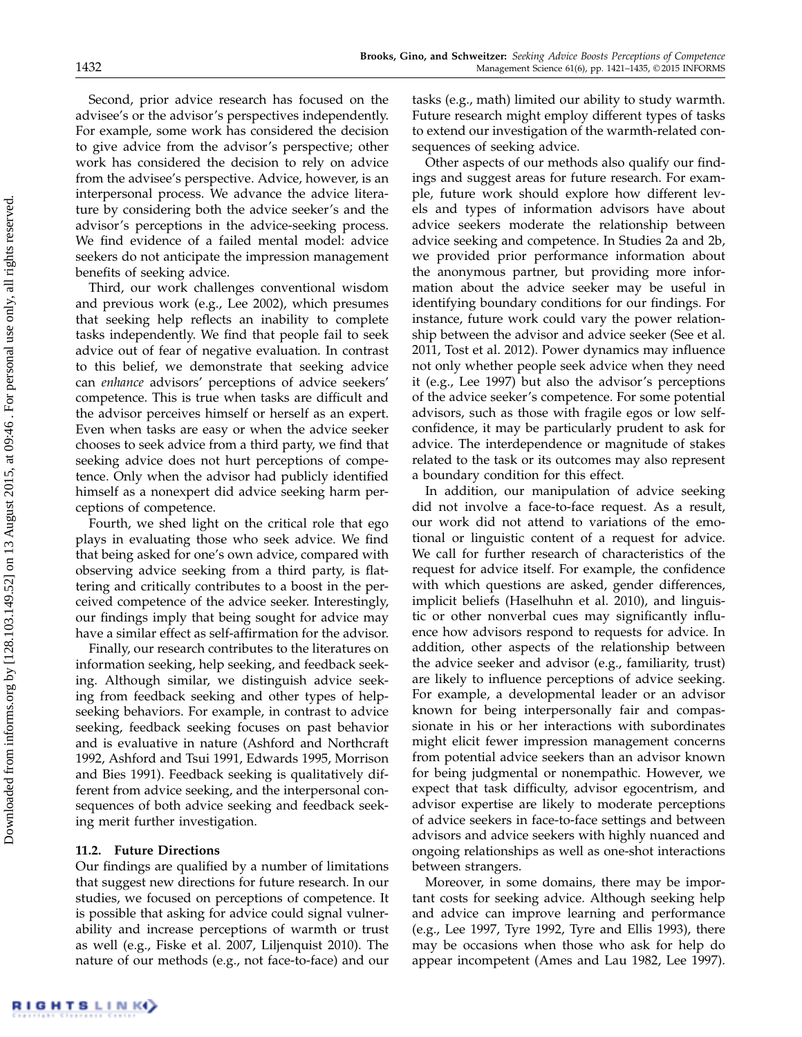Second, prior advice research has focused on the advisee's or the advisor's perspectives independently. For example, some work has considered the decision to give advice from the advisor's perspective; other work has considered the decision to rely on advice from the advisee's perspective. Advice, however, is an interpersonal process. We advance the advice literature by considering both the advice seeker's and the advisor's perceptions in the advice-seeking process. We find evidence of a failed mental model: advice seekers do not anticipate the impression management benefits of seeking advice.

Third, our work challenges conventional wisdom and previous work (e.g., Lee 2002), which presumes that seeking help reflects an inability to complete tasks independently. We find that people fail to seek advice out of fear of negative evaluation. In contrast to this belief, we demonstrate that seeking advice can enhance advisors' perceptions of advice seekers' competence. This is true when tasks are difficult and the advisor perceives himself or herself as an expert. Even when tasks are easy or when the advice seeker chooses to seek advice from a third party, we find that seeking advice does not hurt perceptions of competence. Only when the advisor had publicly identified himself as a nonexpert did advice seeking harm perceptions of competence.

Fourth, we shed light on the critical role that ego plays in evaluating those who seek advice. We find that being asked for one's own advice, compared with observing advice seeking from a third party, is flattering and critically contributes to a boost in the perceived competence of the advice seeker. Interestingly, our findings imply that being sought for advice may have a similar effect as self-affirmation for the advisor.

Finally, our research contributes to the literatures on information seeking, help seeking, and feedback seeking. Although similar, we distinguish advice seeking from feedback seeking and other types of helpseeking behaviors. For example, in contrast to advice seeking, feedback seeking focuses on past behavior and is evaluative in nature (Ashford and Northcraft 1992, Ashford and Tsui 1991, Edwards 1995, Morrison and Bies 1991). Feedback seeking is qualitatively different from advice seeking, and the interpersonal consequences of both advice seeking and feedback seeking merit further investigation.

#### 11.2. Future Directions

Our findings are qualified by a number of limitations that suggest new directions for future research. In our studies, we focused on perceptions of competence. It is possible that asking for advice could signal vulnerability and increase perceptions of warmth or trust as well (e.g., Fiske et al. 2007, Liljenquist 2010). The nature of our methods (e.g., not face-to-face) and our tasks (e.g., math) limited our ability to study warmth. Future research might employ different types of tasks to extend our investigation of the warmth-related consequences of seeking advice.

Other aspects of our methods also qualify our findings and suggest areas for future research. For example, future work should explore how different levels and types of information advisors have about advice seekers moderate the relationship between advice seeking and competence. In Studies 2a and 2b, we provided prior performance information about the anonymous partner, but providing more information about the advice seeker may be useful in identifying boundary conditions for our findings. For instance, future work could vary the power relationship between the advisor and advice seeker (See et al. 2011, Tost et al. 2012). Power dynamics may influence not only whether people seek advice when they need it (e.g., Lee 1997) but also the advisor's perceptions of the advice seeker's competence. For some potential advisors, such as those with fragile egos or low selfconfidence, it may be particularly prudent to ask for advice. The interdependence or magnitude of stakes related to the task or its outcomes may also represent a boundary condition for this effect.

In addition, our manipulation of advice seeking did not involve a face-to-face request. As a result, our work did not attend to variations of the emotional or linguistic content of a request for advice. We call for further research of characteristics of the request for advice itself. For example, the confidence with which questions are asked, gender differences, implicit beliefs (Haselhuhn et al. 2010), and linguistic or other nonverbal cues may significantly influence how advisors respond to requests for advice. In addition, other aspects of the relationship between the advice seeker and advisor (e.g., familiarity, trust) are likely to influence perceptions of advice seeking. For example, a developmental leader or an advisor known for being interpersonally fair and compassionate in his or her interactions with subordinates might elicit fewer impression management concerns from potential advice seekers than an advisor known for being judgmental or nonempathic. However, we expect that task difficulty, advisor egocentrism, and advisor expertise are likely to moderate perceptions of advice seekers in face-to-face settings and between advisors and advice seekers with highly nuanced and ongoing relationships as well as one-shot interactions between strangers.

Moreover, in some domains, there may be important costs for seeking advice. Although seeking help and advice can improve learning and performance (e.g., Lee 1997, Tyre 1992, Tyre and Ellis 1993), there may be occasions when those who ask for help do appear incompetent (Ames and Lau 1982, Lee 1997).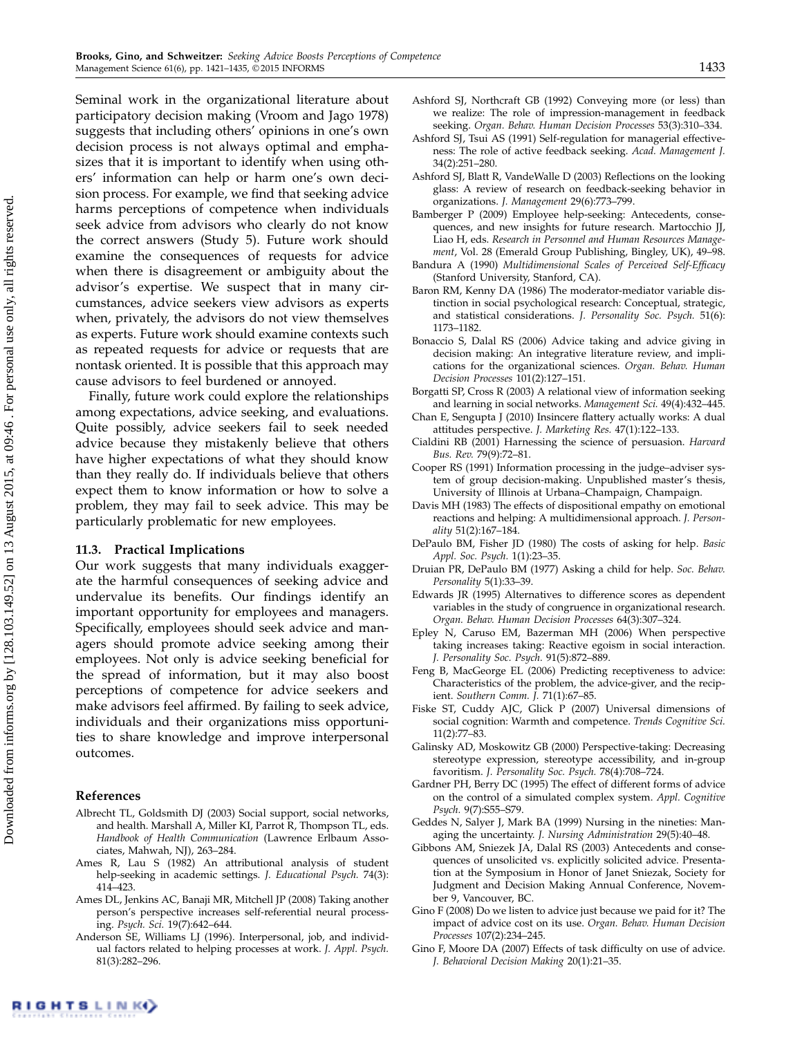Seminal work in the organizational literature about participatory decision making (Vroom and Jago 1978) suggests that including others' opinions in one's own decision process is not always optimal and emphasizes that it is important to identify when using others' information can help or harm one's own decision process. For example, we find that seeking advice harms perceptions of competence when individuals seek advice from advisors who clearly do not know the correct answers (Study 5). Future work should examine the consequences of requests for advice when there is disagreement or ambiguity about the advisor's expertise. We suspect that in many circumstances, advice seekers view advisors as experts when, privately, the advisors do not view themselves as experts. Future work should examine contexts such as repeated requests for advice or requests that are nontask oriented. It is possible that this approach may cause advisors to feel burdened or annoyed.

Finally, future work could explore the relationships among expectations, advice seeking, and evaluations. Quite possibly, advice seekers fail to seek needed advice because they mistakenly believe that others have higher expectations of what they should know than they really do. If individuals believe that others expect them to know information or how to solve a problem, they may fail to seek advice. This may be particularly problematic for new employees.

#### 11.3. Practical Implications

Our work suggests that many individuals exaggerate the harmful consequences of seeking advice and undervalue its benefits. Our findings identify an important opportunity for employees and managers. Specifically, employees should seek advice and managers should promote advice seeking among their employees. Not only is advice seeking beneficial for the spread of information, but it may also boost perceptions of competence for advice seekers and make advisors feel affirmed. By failing to seek advice, individuals and their organizations miss opportunities to share knowledge and improve interpersonal outcomes.

#### References

RIGHTSLINK)

- Albrecht TL, Goldsmith DJ (2003) Social support, social networks, and health. Marshall A, Miller KI, Parrot R, Thompson TL, eds. Handbook of Health Communication (Lawrence Erlbaum Associates, Mahwah, NJ), 263–284.
- Ames R, Lau S (1982) An attributional analysis of student help-seeking in academic settings. J. Educational Psych. 74(3): 414–423.
- Ames DL, Jenkins AC, Banaji MR, Mitchell JP (2008) Taking another person's perspective increases self-referential neural processing. Psych. Sci. 19(7):642–644.
- Anderson SE, Williams LJ (1996). Interpersonal, job, and individual factors related to helping processes at work. J. Appl. Psych. 81(3):282–296.
- Ashford SJ, Northcraft GB (1992) Conveying more (or less) than we realize: The role of impression-management in feedback seeking. Organ. Behav. Human Decision Processes 53(3):310–334.
- Ashford SJ, Tsui AS (1991) Self-regulation for managerial effectiveness: The role of active feedback seeking. Acad. Management J. 34(2):251–280.
- Ashford SJ, Blatt R, VandeWalle D (2003) Reflections on the looking glass: A review of research on feedback-seeking behavior in organizations. J. Management 29(6):773–799.
- Bamberger P (2009) Employee help-seeking: Antecedents, consequences, and new insights for future research. Martocchio JJ, Liao H, eds. Research in Personnel and Human Resources Management, Vol. 28 (Emerald Group Publishing, Bingley, UK), 49–98.
- Bandura A (1990) Multidimensional Scales of Perceived Self-Efficacy (Stanford University, Stanford, CA).
- Baron RM, Kenny DA (1986) The moderator-mediator variable distinction in social psychological research: Conceptual, strategic, and statistical considerations. J. Personality Soc. Psych. 51(6): 1173–1182.
- Bonaccio S, Dalal RS (2006) Advice taking and advice giving in decision making: An integrative literature review, and implications for the organizational sciences. Organ. Behav. Human Decision Processes 101(2):127–151.
- Borgatti SP, Cross R (2003) A relational view of information seeking and learning in social networks. Management Sci. 49(4):432–445.
- Chan E, Sengupta J (2010) Insincere flattery actually works: A dual attitudes perspective. J. Marketing Res. 47(1):122–133.
- Cialdini RB (2001) Harnessing the science of persuasion. Harvard Bus. Rev. 79(9):72–81.
- Cooper RS (1991) Information processing in the judge–adviser system of group decision-making. Unpublished master's thesis, University of Illinois at Urbana–Champaign, Champaign.
- Davis MH (1983) The effects of dispositional empathy on emotional reactions and helping: A multidimensional approach. J. Personality 51(2):167–184.
- DePaulo BM, Fisher JD (1980) The costs of asking for help. Basic Appl. Soc. Psych. 1(1):23–35.
- Druian PR, DePaulo BM (1977) Asking a child for help. Soc. Behav. Personality 5(1):33–39.
- Edwards JR (1995) Alternatives to difference scores as dependent variables in the study of congruence in organizational research. Organ. Behav. Human Decision Processes 64(3):307–324.
- Epley N, Caruso EM, Bazerman MH (2006) When perspective taking increases taking: Reactive egoism in social interaction. J. Personality Soc. Psych. 91(5):872–889.
- Feng B, MacGeorge EL (2006) Predicting receptiveness to advice: Characteristics of the problem, the advice-giver, and the recipient. Southern Comm. J. 71(1):67–85.
- Fiske ST, Cuddy AJC, Glick P (2007) Universal dimensions of social cognition: Warmth and competence. Trends Cognitive Sci. 11(2):77–83.
- Galinsky AD, Moskowitz GB (2000) Perspective-taking: Decreasing stereotype expression, stereotype accessibility, and in-group favoritism. J. Personality Soc. Psych. 78(4):708–724.
- Gardner PH, Berry DC (1995) The effect of different forms of advice on the control of a simulated complex system. Appl. Cognitive Psych. 9(7):S55–S79.
- Geddes N, Salyer J, Mark BA (1999) Nursing in the nineties: Managing the uncertainty. J. Nursing Administration 29(5):40–48.
- Gibbons AM, Sniezek JA, Dalal RS (2003) Antecedents and consequences of unsolicited vs. explicitly solicited advice. Presentation at the Symposium in Honor of Janet Sniezak, Society for Judgment and Decision Making Annual Conference, November 9, Vancouver, BC.
- Gino F (2008) Do we listen to advice just because we paid for it? The impact of advice cost on its use. Organ. Behav. Human Decision Processes 107(2):234–245.
- Gino F, Moore DA (2007) Effects of task difficulty on use of advice. J. Behavioral Decision Making 20(1):21–35.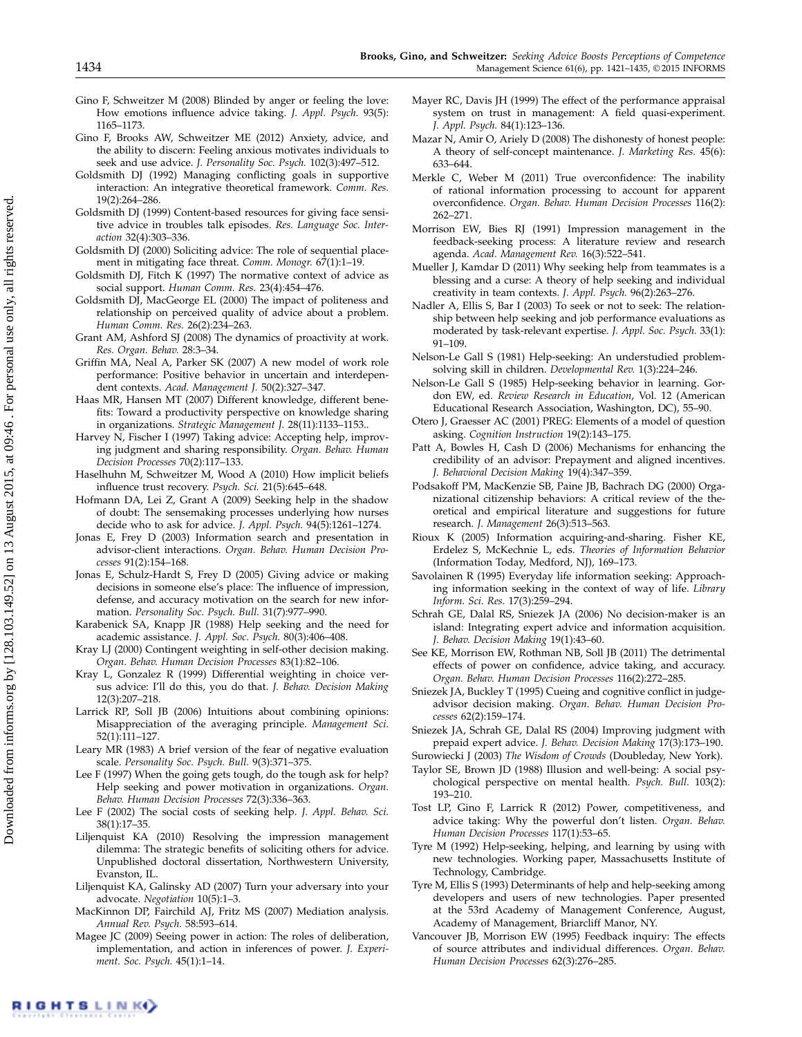- Gino F, Schweitzer M (2008) Blinded by anger or feeling the love: How emotions influence advice taking. J. Appl. Psych. 93(5): 1165–1173.
- Gino F, Brooks AW, Schweitzer ME (2012) Anxiety, advice, and the ability to discern: Feeling anxious motivates individuals to seek and use advice. J. Personality Soc. Psych. 102(3):497–512.
- Goldsmith DJ (1992) Managing conflicting goals in supportive interaction: An integrative theoretical framework. Comm. Res. 19(2):264–286.
- Goldsmith DJ (1999) Content-based resources for giving face sensitive advice in troubles talk episodes. Res. Language Soc. Interaction 32(4):303–336.
- Goldsmith DJ (2000) Soliciting advice: The role of sequential placement in mitigating face threat. Comm. Monogr. 67(1):1–19.
- Goldsmith DJ, Fitch K (1997) The normative context of advice as social support. Human Comm. Res. 23(4):454–476.
- Goldsmith DJ, MacGeorge EL (2000) The impact of politeness and relationship on perceived quality of advice about a problem. Human Comm. Res. 26(2):234–263.
- Grant AM, Ashford SJ (2008) The dynamics of proactivity at work. Res. Organ. Behav. 28:3–34.
- Griffin MA, Neal A, Parker SK (2007) A new model of work role performance: Positive behavior in uncertain and interdependent contexts. Acad. Management J. 50(2):327–347.
- Haas MR, Hansen MT (2007) Different knowledge, different benefits: Toward a productivity perspective on knowledge sharing in organizations. Strategic Management J. 28(11):1133–1153..
- Harvey N, Fischer I (1997) Taking advice: Accepting help, improving judgment and sharing responsibility. Organ. Behav. Human Decision Processes 70(2):117–133.
- Haselhuhn M, Schweitzer M, Wood A (2010) How implicit beliefs influence trust recovery. Psych. Sci. 21(5):645–648.
- Hofmann DA, Lei Z, Grant A (2009) Seeking help in the shadow of doubt: The sensemaking processes underlying how nurses decide who to ask for advice. J. Appl. Psych. 94(5):1261–1274.
- Jonas E, Frey D (2003) Information search and presentation in advisor-client interactions. Organ. Behav. Human Decision Processes 91(2):154–168.
- Jonas E, Schulz-Hardt S, Frey D (2005) Giving advice or making decisions in someone else's place: The influence of impression, defense, and accuracy motivation on the search for new information. Personality Soc. Psych. Bull. 31(7):977–990.
- Karabenick SA, Knapp JR (1988) Help seeking and the need for academic assistance. J. Appl. Soc. Psych. 80(3):406–408.
- Kray LJ (2000) Contingent weighting in self-other decision making. Organ. Behav. Human Decision Processes 83(1):82–106.
- Kray L, Gonzalez R (1999) Differential weighting in choice versus advice: I'll do this, you do that. J. Behav. Decision Making 12(3):207–218.
- Larrick RP, Soll JB (2006) Intuitions about combining opinions: Misappreciation of the averaging principle. Management Sci. 52(1):111–127.
- Leary MR (1983) A brief version of the fear of negative evaluation scale. Personality Soc. Psych. Bull. 9(3):371–375.
- Lee F (1997) When the going gets tough, do the tough ask for help? Help seeking and power motivation in organizations. Organ. Behav. Human Decision Processes 72(3):336–363.
- Lee F (2002) The social costs of seeking help. J. Appl. Behav. Sci. 38(1):17–35.
- Liljenquist KA (2010) Resolving the impression management dilemma: The strategic benefits of soliciting others for advice. Unpublished doctoral dissertation, Northwestern University, Evanston, IL.
- Liljenquist KA, Galinsky AD (2007) Turn your adversary into your advocate. Negotiation 10(5):1–3.
- MacKinnon DP, Fairchild AJ, Fritz MS (2007) Mediation analysis. Annual Rev. Psych. 58:593–614.
- Magee JC (2009) Seeing power in action: The roles of deliberation, implementation, and action in inferences of power. J. Experiment. Soc. Psych. 45(1):1–14.
- Mayer RC, Davis JH (1999) The effect of the performance appraisal system on trust in management: A field quasi-experiment. J. Appl. Psych. 84(1):123–136.
- Mazar N, Amir O, Ariely D (2008) The dishonesty of honest people: A theory of self-concept maintenance. J. Marketing Res. 45(6): 633–644.
- Merkle C, Weber M (2011) True overconfidence: The inability of rational information processing to account for apparent overconfidence. Organ. Behav. Human Decision Processes 116(2): 262–271.
- Morrison EW, Bies RJ (1991) Impression management in the feedback-seeking process: A literature review and research agenda. Acad. Management Rev. 16(3):522–541.
- Mueller J, Kamdar D (2011) Why seeking help from teammates is a blessing and a curse: A theory of help seeking and individual creativity in team contexts. J. Appl. Psych. 96(2):263–276.
- Nadler A, Ellis S, Bar I (2003) To seek or not to seek: The relationship between help seeking and job performance evaluations as moderated by task-relevant expertise. J. Appl. Soc. Psych. 33(1): 91–109.
- Nelson-Le Gall S (1981) Help-seeking: An understudied problemsolving skill in children. Developmental Rev. 1(3):224–246.
- Nelson-Le Gall S (1985) Help-seeking behavior in learning. Gordon EW, ed. Review Research in Education, Vol. 12 (American Educational Research Association, Washington, DC), 55–90.
- Otero J, Graesser AC (2001) PREG: Elements of a model of question asking. Cognition Instruction 19(2):143–175.
- Patt A, Bowles H, Cash D (2006) Mechanisms for enhancing the credibility of an advisor: Prepayment and aligned incentives. J. Behavioral Decision Making 19(4):347–359.
- Podsakoff PM, MacKenzie SB, Paine JB, Bachrach DG (2000) Organizational citizenship behaviors: A critical review of the theoretical and empirical literature and suggestions for future research. J. Management 26(3):513–563.
- Rioux K (2005) Information acquiring-and-sharing. Fisher KE, Erdelez S, McKechnie L, eds. Theories of Information Behavior (Information Today, Medford, NJ), 169–173.
- Savolainen R (1995) Everyday life information seeking: Approaching information seeking in the context of way of life. Library Inform. Sci. Res. 17(3):259–294.
- Schrah GE, Dalal RS, Sniezek JA (2006) No decision-maker is an island: Integrating expert advice and information acquisition. J. Behav. Decision Making 19(1):43–60.
- See KE, Morrison EW, Rothman NB, Soll JB (2011) The detrimental effects of power on confidence, advice taking, and accuracy. Organ. Behav. Human Decision Processes 116(2):272–285.
- Sniezek JA, Buckley T (1995) Cueing and cognitive conflict in judgeadvisor decision making. Organ. Behav. Human Decision Processes 62(2):159–174.
- Sniezek JA, Schrah GE, Dalal RS (2004) Improving judgment with prepaid expert advice. J. Behav. Decision Making 17(3):173–190.
- Surowiecki J (2003) The Wisdom of Crowds (Doubleday, New York).
- Taylor SE, Brown JD (1988) Illusion and well-being: A social psychological perspective on mental health. Psych. Bull. 103(2): 193–210.
- Tost LP, Gino F, Larrick R (2012) Power, competitiveness, and advice taking: Why the powerful don't listen. Organ. Behav. Human Decision Processes 117(1):53–65.
- Tyre M (1992) Help-seeking, helping, and learning by using with new technologies. Working paper, Massachusetts Institute of Technology, Cambridge.
- Tyre M, Ellis S (1993) Determinants of help and help-seeking among developers and users of new technologies. Paper presented at the 53rd Academy of Management Conference, August, Academy of Management, Briarcliff Manor, NY.
- Vancouver JB, Morrison EW (1995) Feedback inquiry: The effects of source attributes and individual differences. Organ. Behav. Human Decision Processes 62(3):276–285.